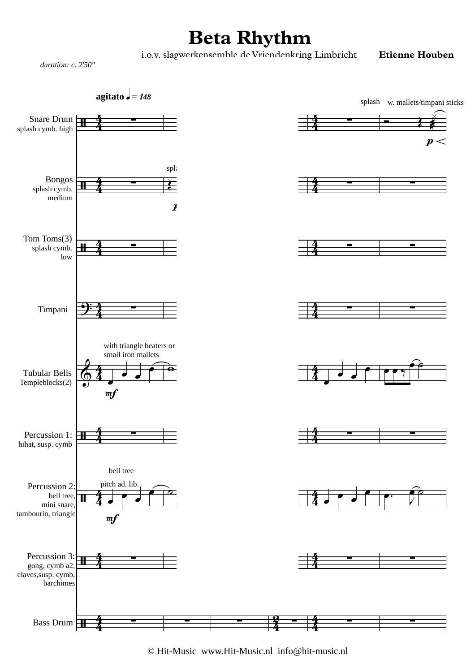## **Beta Rhythm**

i.o.v. slagwerkensemble de Vriendenkring Limbricht **Etienne Houben**

*duration: c. 2'50''*



© Hit-Music www.Hit-Music.nl info@hit-music.nl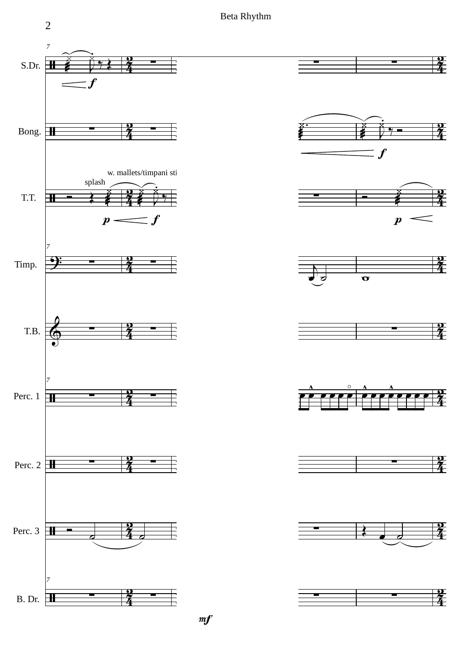Beta Rhythm

2



 $m f$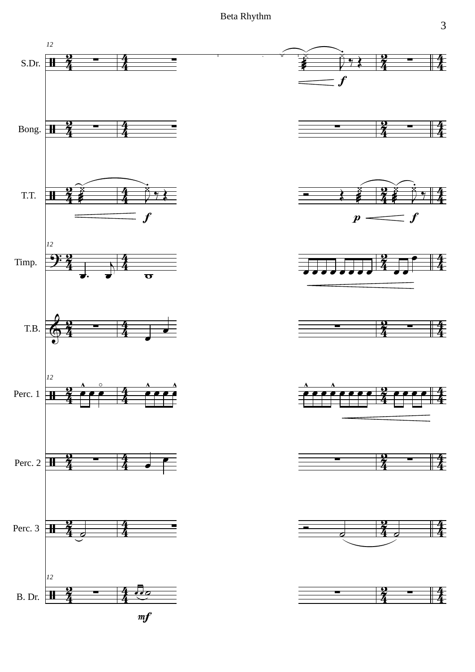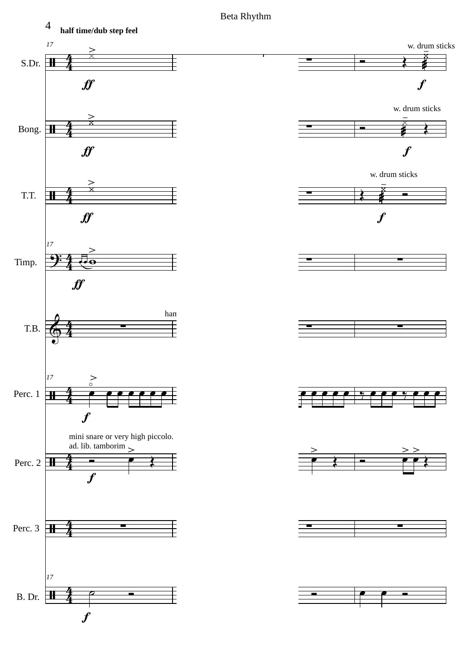

Beta Rhythm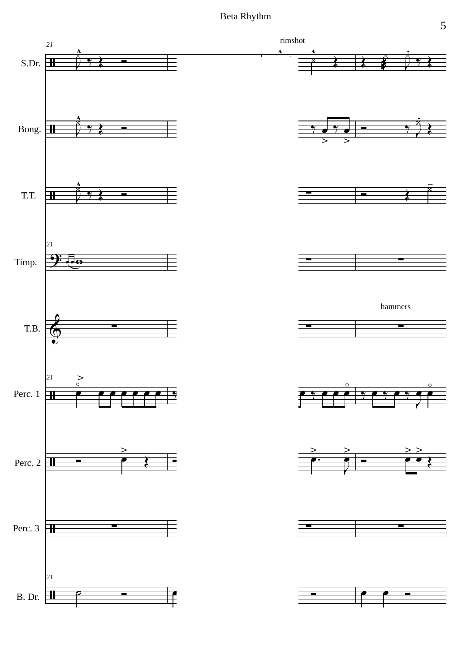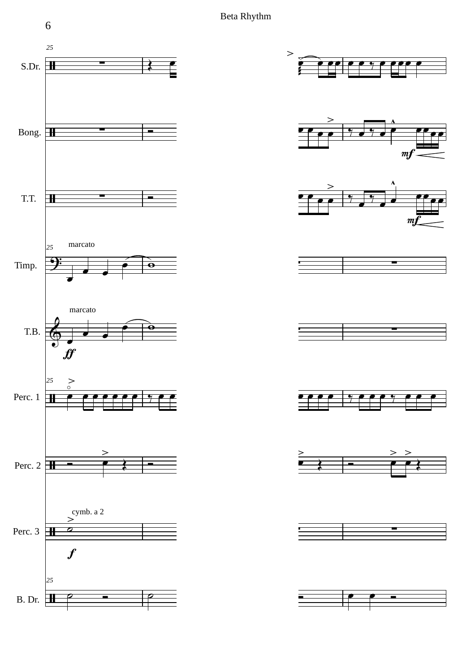





















B. Dr.  $\boxed{\pm}$ 

6

*25*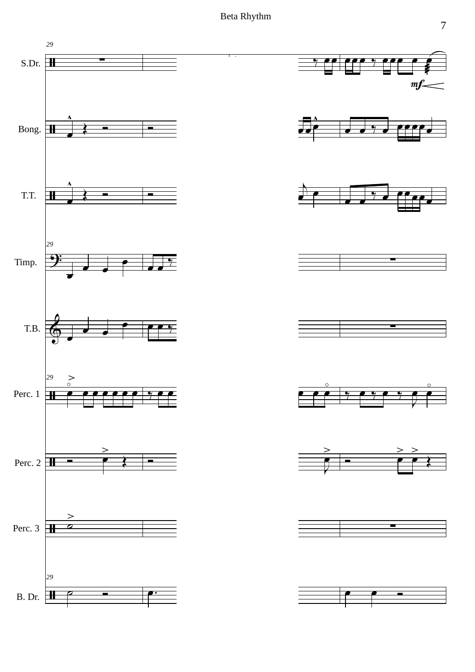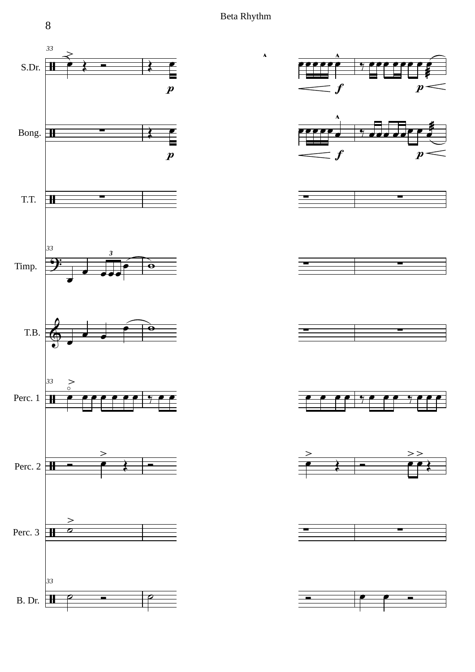æ

œ ≸<br>L

 $\overline{\boldsymbol{t}}$ 

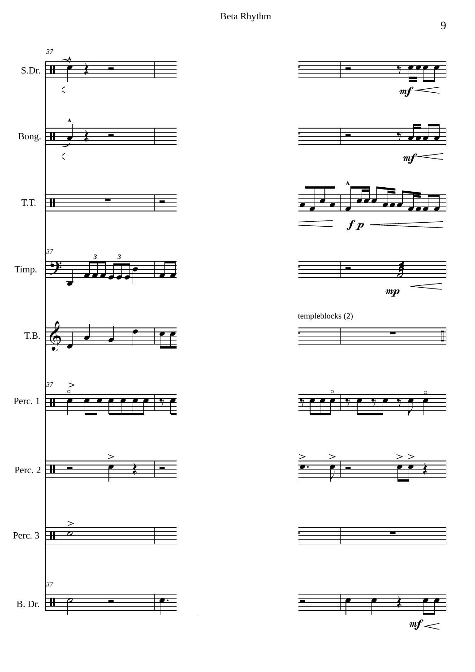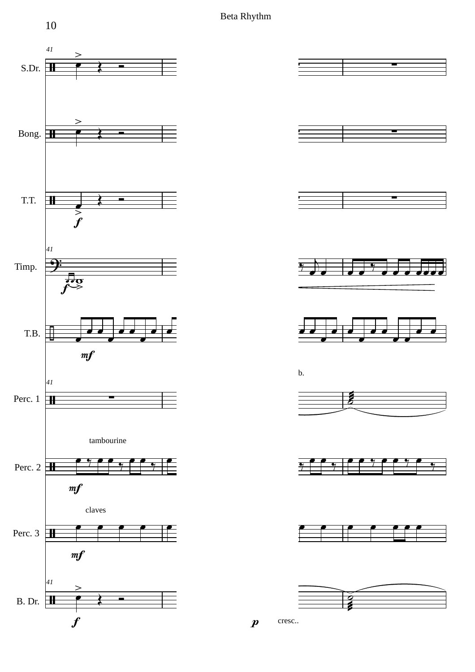Beta Rhythm



10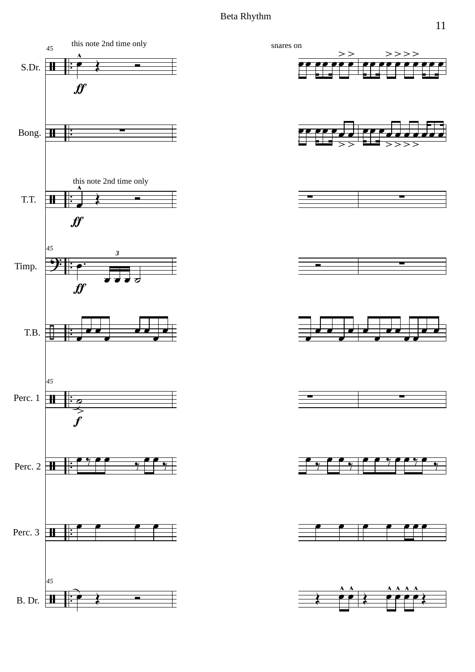## Beta Rhythm

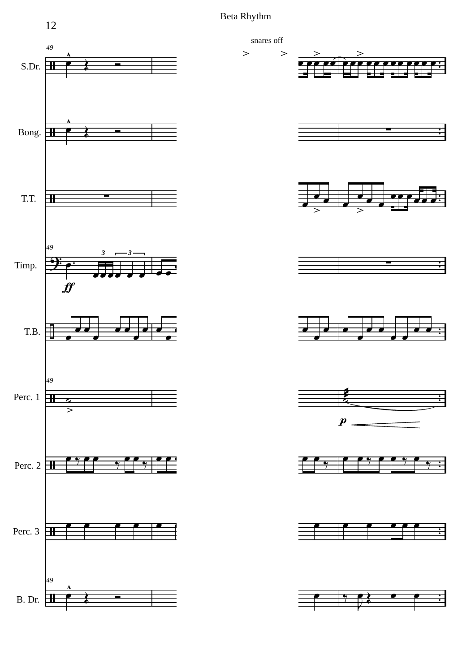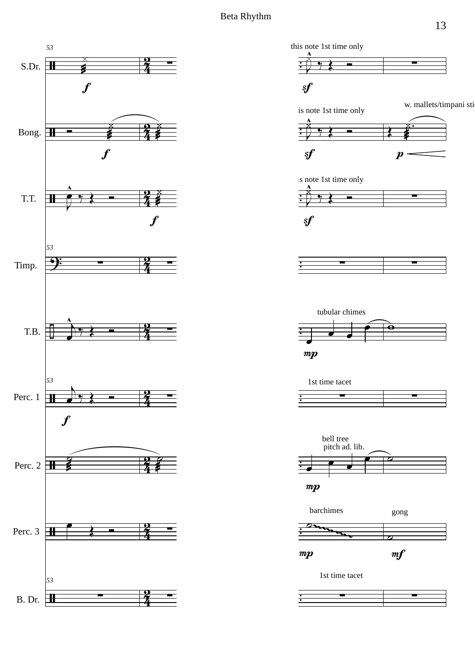



w. mallets/timpani sti















1st time tacet

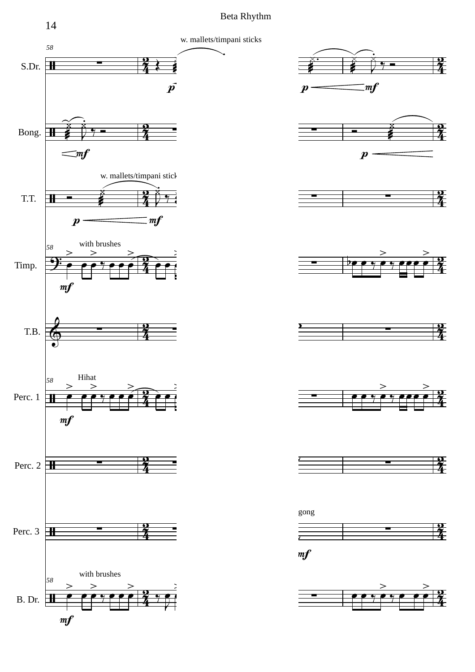



 $\ddot{\phantom{0}}$ .



















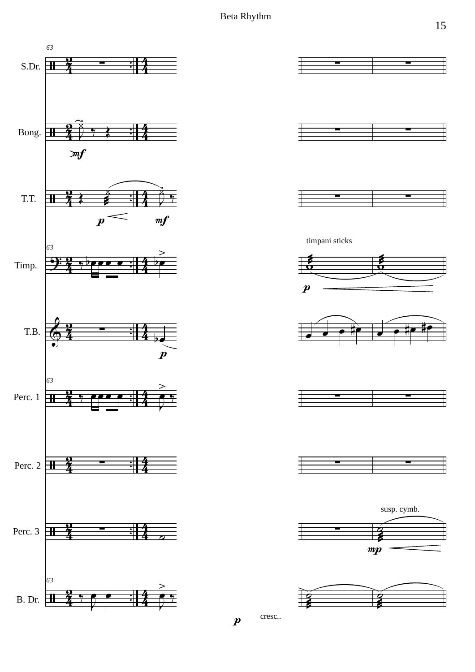







timpani sticks













cresc..

 $\boldsymbol{p}$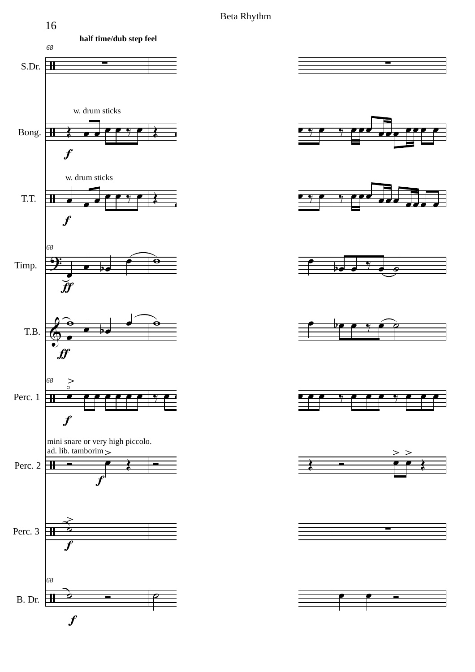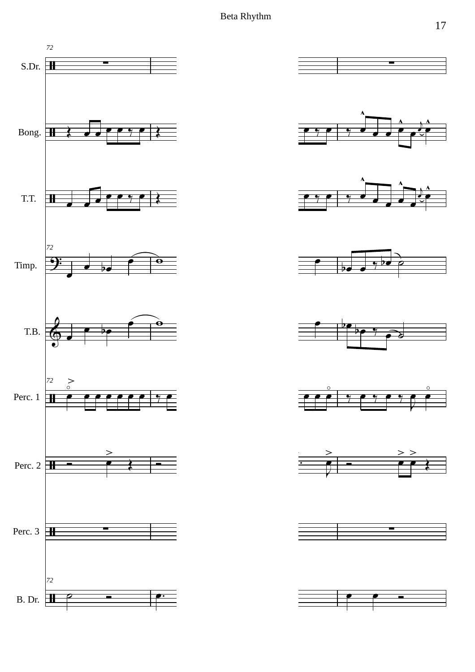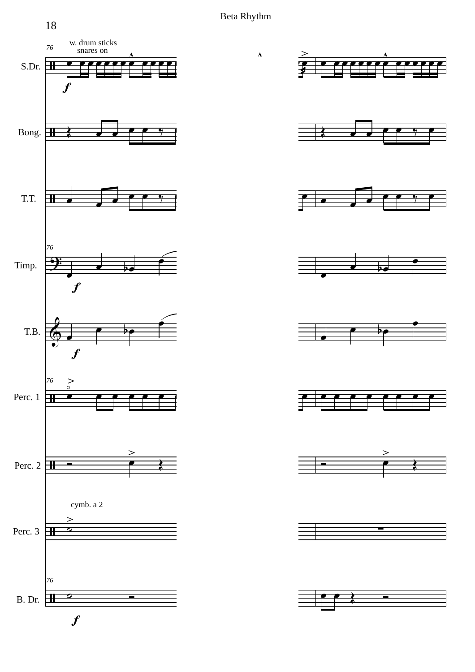œ

œ

 $\overline{\blacklozenge}$ 

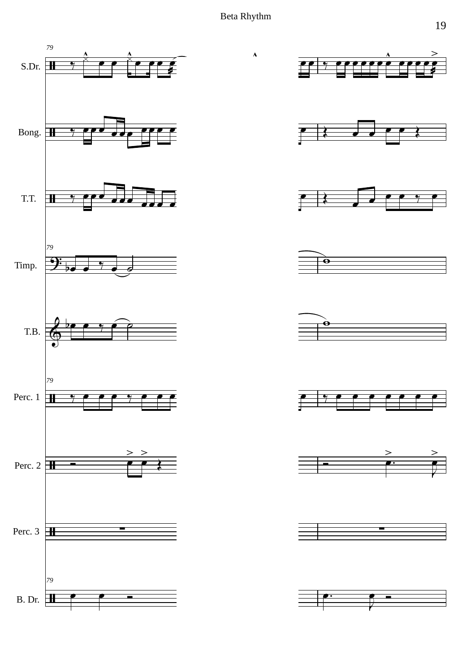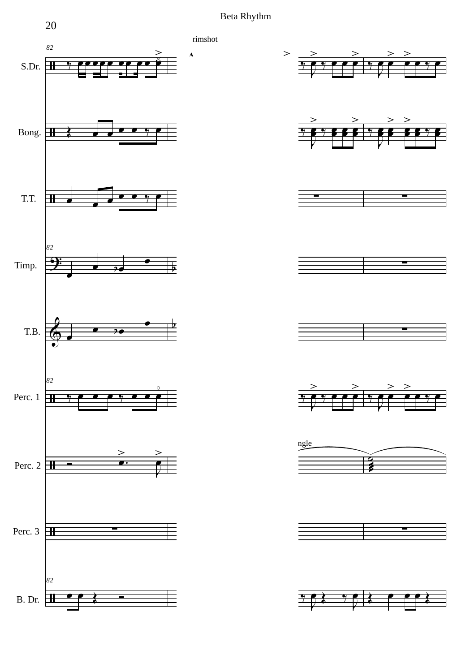Beta Rhythm